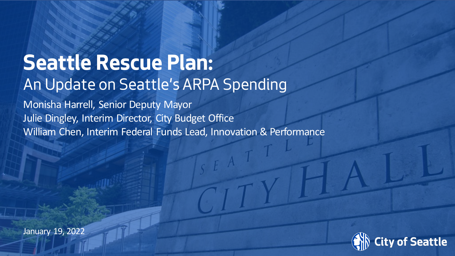#### **Seattle Rescue Plan:** An Update on Seattle's ARPA Spending

Monisha Harrell, Senior Deputy Mayor Julie Dingley, Interim Director, City Budget Office William Chen, Interim Federal Funds Lead, Innovation & Performance

January 19, 2022

Date (xx/xx/xxxx) Department Name Page Number

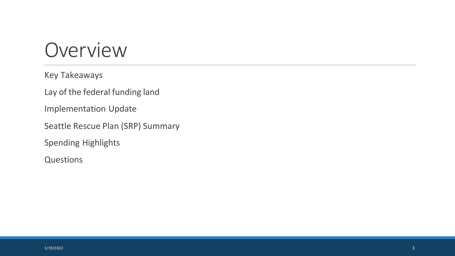#### Overview

Key Takeaways

Lay of the federal funding land

Implementation Update

Seattle Rescue Plan (SRP) Summary

Spending Highlights

Questions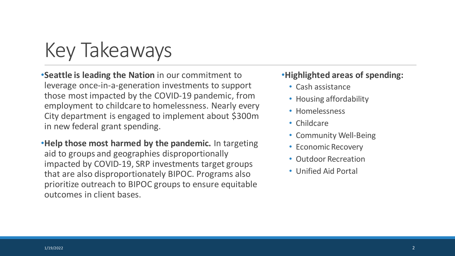

•**Seattle is leading the Nation** in our commitment to leverage once-in-a-generation investments to support those most impacted by the COVID-19 pandemic, from employment to childcare to homelessness. Nearly every City department is engaged to implement about \$300m in new federal grant spending.

•**Help those most harmed by the pandemic.** In targeting aid to groups and geographies disproportionally impacted by COVID-19, SRP investments target groups that are also disproportionately BIPOC. Programs also prioritize outreach to BIPOC groups to ensure equitable outcomes in client bases.

#### •**Highlighted areas of spending:**

- Cash assistance
- Housing affordability
- Homelessness
- Childcare
- Community Well-Being
- Economic Recovery
- Outdoor Recreation
- Unified Aid Portal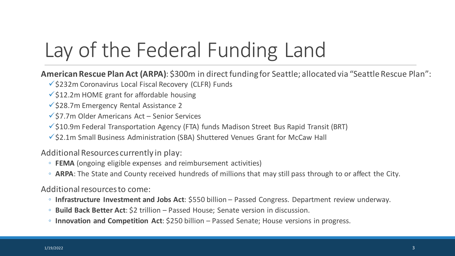## Lay of the Federal Funding Land

**American Rescue Plan Act (ARPA)**: \$300m in direct funding for Seattle; allocated via "Seattle Rescue Plan":

- $\checkmark$ \$232m Coronavirus Local Fiscal Recovery (CLFR) Funds
- $\checkmark$  \$12.2m HOME grant for affordable housing
- $\checkmark$  \$28.7m Emergency Rental Assistance 2
- $\checkmark$  \$7.7m Older Americans Act Senior Services
- $\checkmark$ \$10.9m Federal Transportation Agency (FTA) funds Madison Street Bus Rapid Transit (BRT)
- $\checkmark$ \$2.1m Small Business Administration (SBA) Shuttered Venues Grant for McCaw Hall

Additional Resources currently in play:

- **FEMA** (ongoing eligible expenses and reimbursement activities)
- **ARPA**: The State and County received hundreds of millions that may still pass through to or affect the City.

Additional resources to come:

- **Infrastructure Investment and Jobs Act**: \$550 billion Passed Congress. Department review underway.
- **Build Back Better Act**: \$2 trillion Passed House; Senate version in discussion.
- **Innovation and Competition Act**: \$250 billion Passed Senate; House versions in progress.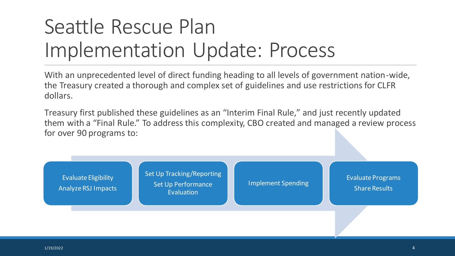## Seattle Rescue Plan Implementation Update: Process

With an unprecedented level of direct funding heading to all levels of government nation-wide, the Treasury created a thorough and complex set of guidelines and use restrictions for CLFR dollars.

Treasury first published these guidelines as an "Interim Final Rule," and just recently updated them with a "Final Rule." To address this complexity, CBO created and managed a review process for over 90 programs to:

Evaluate Eligibility Analyze RSJ Impacts Set Up Tracking/Reporting Set Up Performance Evaluation

Implement Spending Formulate Programs Share Results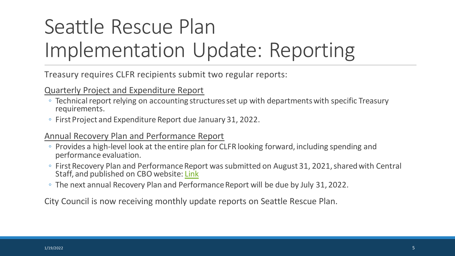## Seattle Rescue Plan Implementation Update: Reporting

Treasury requires CLFR recipients submit two regular reports:

#### Quarterly Project and Expenditure Report

- Technical report relying on accounting structures set up with departments with specific Treasury requirements.
- First Project and Expenditure Report due January 31, 2022.

#### Annual Recovery Plan and Performance Report

- Provides a high-level look at the entire plan for CLFR looking forward, including spending and performance evaluation.
- First Recovery Plan and Performance Report was submitted on August 31, 2021, shared with Central Staff, and published on CBO website: [Link](https://www.seattle.gov/Documents/Departments/FinanceDepartment/Seattle%20Rescue%20Plan/Seattle%20Recovery%20Plan%20Performance%20Report_Aug2021_vFinal.pdf)
- The next annual Recovery Plan and Performance Report will be due by July 31, 2022.

City Council is now receiving monthly update reports on Seattle Rescue Plan.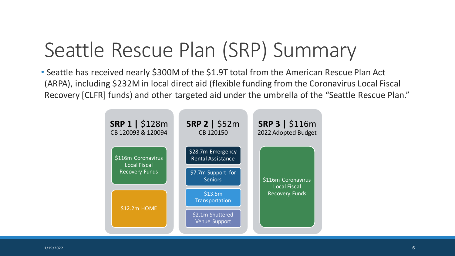## Seattle Rescue Plan (SRP) Summary

• Seattle has received nearly \$300M of the \$1.9T total from the American Rescue Plan Act (ARPA), including \$232M in local direct aid (flexible funding from the Coronavirus Local Fiscal Recovery [CLFR] funds) and other targeted aid under the umbrella of the "Seattle Rescue Plan."

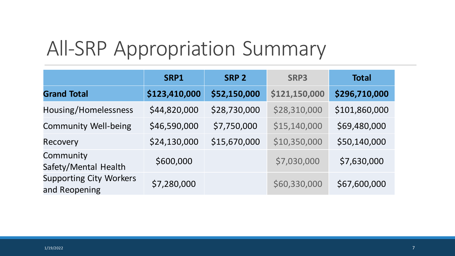#### All-SRP Appropriation Summary

|                                                 | SRP1          | <b>SRP 2</b> | SRP3          | <b>Total</b>  |
|-------------------------------------------------|---------------|--------------|---------------|---------------|
| <b>Grand Total</b>                              | \$123,410,000 | \$52,150,000 | \$121,150,000 | \$296,710,000 |
| Housing/Homelessness                            | \$44,820,000  | \$28,730,000 | \$28,310,000  | \$101,860,000 |
| <b>Community Well-being</b>                     | \$46,590,000  | \$7,750,000  | \$15,140,000  | \$69,480,000  |
| Recovery                                        | \$24,130,000  | \$15,670,000 | \$10,350,000  | \$50,140,000  |
| Community<br>Safety/Mental Health               | \$600,000     |              | \$7,030,000   | \$7,630,000   |
| <b>Supporting City Workers</b><br>and Reopening | \$7,280,000   |              | \$60,330,000  | \$67,600,000  |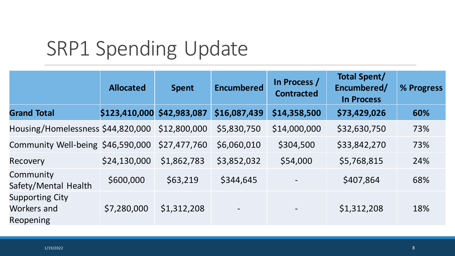## SRP1 Spending Update

|                                                           | <b>Allocated</b> | <b>Spent</b> | <b>Encumbered</b>        | In Process /<br><b>Contracted</b> | <b>Total Spent/</b><br>Encumbered/<br><b>In Process</b> | % Progress |
|-----------------------------------------------------------|------------------|--------------|--------------------------|-----------------------------------|---------------------------------------------------------|------------|
| <b>Grand Total</b>                                        | \$123,410,000    | \$42,983,087 | \$16,087,439             | \$14,358,500                      | \$73,429,026                                            | 60%        |
| Housing/Homelessness \$44,820,000                         |                  | \$12,800,000 | \$5,830,750              | \$14,000,000                      | \$32,630,750                                            | 73%        |
| Community Well-being \$46,590,000                         |                  | \$27,477,760 | \$6,060,010              | \$304,500                         | \$33,842,270                                            | 73%        |
| Recovery                                                  | \$24,130,000     | \$1,862,783  | \$3,852,032              | \$54,000                          | \$5,768,815                                             | 24%        |
| Community<br>Safety/Mental Health                         | \$600,000        | \$63,219     | \$344,645                |                                   | \$407,864                                               | 68%        |
| <b>Supporting City</b><br>Workers and<br><b>Reopening</b> | \$7,280,000      | \$1,312,208  | $\overline{\phantom{a}}$ | $\qquad \qquad -$                 | \$1,312,208                                             | 18%        |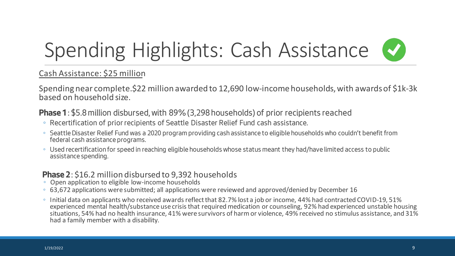## Spending Highlights: Cash Assistance

#### Cash Assistance: \$25 million

Spending near complete.\$22 million awarded to 12,690 low-income households, with awards of \$1k-3k based on household size.

#### **Phase 1**: \$5.8 million disbursed, with 89% (3,298 households) of prior recipients reached

- Recertification of prior recipients of Seattle Disaster Relief Fund cash assistance.
- Seattle Disaster Relief Fund was a 2020 program providing cash assistance to eligible households who couldn't benefit from federal cash assistance programs.
- Used recertification for speed in reaching eligible households whose status meant they had/have limited access to public assistance spending.

#### **Phase 2**: \$16.2 million disbursed to 9,392 households 
<sup>◦</sup> Open application to eligible low-income households

- 
- 63,672 applications were submitted; all applications were reviewed and approved/denied by December 16
- Initial data on applicants who received awards reflect that 82.7% lost a job or income, 44% had contracted COVID-19, 51% experienced mental health/substance use crisis that required medication or counseling, 92% had experienced unstable housing situations, 54% had no health insurance, 41% were survivors of harm or violence, 49% received no stimulus assistance, and 31% had a family member with a disability.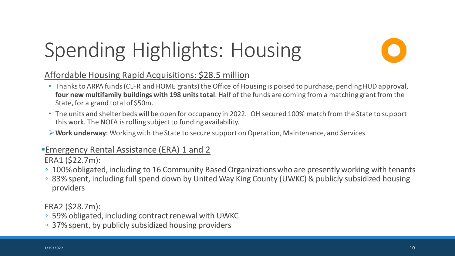## Spending Highlights: Housing

Affordable Housing Rapid Acquisitions: \$28.5 million

- Thanks to ARPA funds (CLFR and HOME grants) the Office of Housing is poised to purchase, pending HUD approval, **four new multifamily buildings with 198 unitstotal**. Half of the funds are coming from a matching grant from the State, for a grand total of \$50m.
- The units and shelter beds will be open for occupancy in 2022. OH secured 100% match from the State to support this work. The NOFA is rolling subject to funding availability.
- **Work underway**: Working with the State to secure support on Operation, Maintenance, and Services

#### Emergency Rental Assistance (ERA) 1 and 2

ERA1 (\$22.7m):

- 100% obligated, including to 16 Community Based Organizations who are presently working with tenants
- 83% spent, including full spend down by United Way King County (UWKC) & publicly subsidized housing providers

ERA2 (\$28.7m):

- 59% obligated, including contract renewal with UWKC
- 37% spent, by publicly subsidized housing providers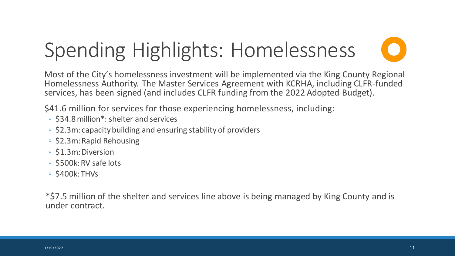## Spending Highlights: Homelessness

Most of the City's homelessness investment will be implemented via the King County Regional Homelessness Authority. The Master Services Agreement with KCRHA, including CLFR-funded services, has been signed (and includes CLFR funding from the 2022 Adopted Budget).

\$41.6 million for services for those experiencing homelessness, including:

- \$34.8 million\*: shelter and services
- \$2.3m: capacity building and ensuring stability of providers
- \$2.3m: Rapid Rehousing
- \$1.3m: Diversion
- \$500k: RV safe lots
- \$400k: THVs

\*\$7.5 million of the shelter and services line above is being managed by King County and is under contract.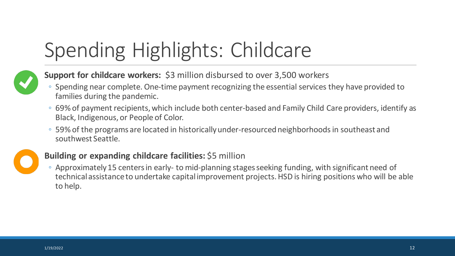## Spending Highlights: Childcare



#### **Support for childcare workers:** \$3 million disbursed to over 3,500 workers

- Spending near complete. One-time payment recognizing the essential services they have provided to families during the pandemic.
- 69% of payment recipients, which include both center-based and Family Child Care providers, identify as Black, Indigenous, or People of Color.
- 59% of the programs are located in historically under-resourced neighborhoods in southeast and southwest Seattle.



#### **Building or expanding childcare facilities:** \$5 million

◦ Approximately 15 centers in early- to mid-planning stages seeking funding, with significant need of technical assistance to undertake capital improvement projects. HSD is hiring positions who will be able to help.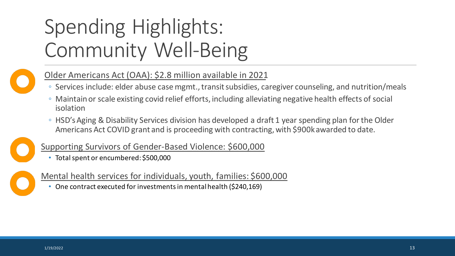## Spending Highlights: Community Well-Being



#### Older Americans Act (OAA): \$2.8 million available in 2021

- Services include: elder abuse case mgmt., transit subsidies, caregiver counseling, and nutrition/meals
- Maintain or scale existing covid relief efforts, including alleviating negative health effects of social isolation
- HSD's Aging & Disability Services division has developed a draft 1 year spending plan for the Older Americans Act COVID grant and is proceeding with contracting, with \$900k awarded to date.



Supporting Survivors of Gender-Based Violence: \$600,000

• Total spent or encumbered: \$500,000



Mental health services for individuals, youth, families: \$600,000

• One contract executed for investments in mental health (\$240,169)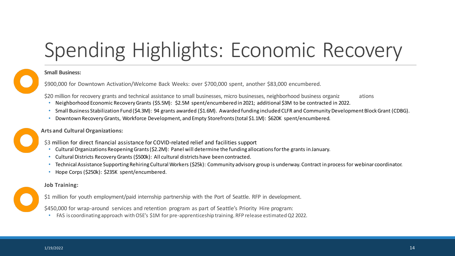## Spending Highlights: Economic Recovery

#### **Small Business:**

\$900,000 for Downtown Activation/Welcome Back Weeks: over \$700,000 spent, another \$83,000 encumbered.

\$20 million for recovery grants and technical assistance to small businesses, micro businesses, neighborhood business organiz ations

- Neighborhood Economic Recovery Grants (\$5.5M): \$2.5M spent/encumbered in 2021; additional \$3M to be contracted in 2022.
- Small Business Stabilization Fund (\$4.3M): 94 grants awarded (\$1.6M). Awarded funding included CLFR and Community Development Block Grant (CDBG).
- Downtown Recovery Grants, Workforce Development, and Empty Storefronts (total \$1.1M): \$620K spent/encumbered.

#### **Arts and Cultural Organizations:**

\$3 million for direct financial assistance for COVID-related relief and facilities support

- Cultural Organizations Reopening Grants (\$2.2M): Panel will determine the funding allocations for the grants in January.
- Cultural Districts Recovery Grants (\$500k): All cultural districts have been contracted.
- Technical Assistance Supporting Rehiring Cultural Workers (\$25k): Community advisory group is underway. Contract in process for webinar coordinator.
- Hope Corps (\$250k): \$235K spent/encumbered.

#### **Job Training:**

\$1 million for youth employment/paid internship partnership with the Port of Seattle. RFP in development.

\$450,000 for wrap-around services and retention program as part of Seattle's Priority Hire program:

• FAS is coordinating approach with OSE's \$1M for pre-apprenticeship training. RFP release estimated Q2 2022.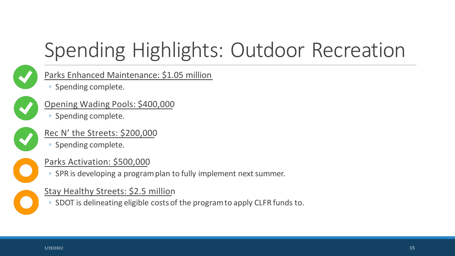## Spending Highlights: Outdoor Recreation



#### Parks Enhanced Maintenance: \$1.05 million

◦ Spending complete.



#### Opening Wading Pools: \$400,000

◦ Spending complete.

#### Rec N' the Streets: \$200,000

◦ Spending complete.



#### Parks Activation: \$500,000

◦ SPR is developing a program plan to fully implement next summer.

#### Stay Healthy Streets: \$2.5 million

◦ SDOT is delineating eligible costs of the program to apply CLFR funds to.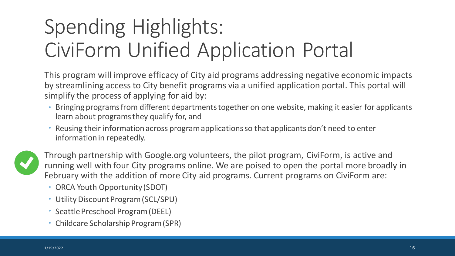## Spending Highlights: CiviForm Unified Application Portal

This program will improve efficacy of City aid programs addressing negative economic impacts by streamlining access to City benefit programs via a unified application portal. This portal will simplify the process of applying for aid by:

- Bringing programs from different departments together on one website, making it easier for applicants learn about programs they qualify for, and
- Reusing their information across program applications so that applicants don't need to enter information in repeatedly.



Through partnership with Google.org volunteers, the pilot program, CiviForm, is active and running well with four City programs online. We are poised to open the portal more broadly in February with the addition of more City aid programs. Current programs on CiviForm are:

- ORCA Youth Opportunity (SDOT)
- Utility Discount Program (SCL/SPU)
- Seattle Preschool Program (DEEL)
- Childcare Scholarship Program (SPR)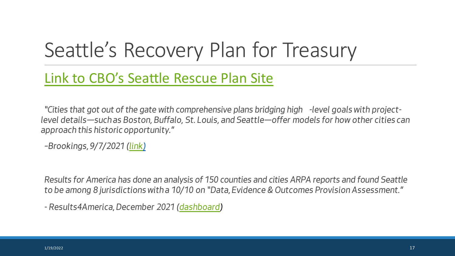## Seattle's Recovery Plan for Treasury

#### [Link to CBO's Seattle Rescue Plan Site](https://www.seattle.gov/city-budget-office/seattle-rescue-plan)

*"Cities that got out of the gate with comprehensive plans bridging high -level goals with projectlevel details—such as Boston, Buffalo, St. Louis, and Seattle—offer models for how other cities can approach this historic opportunity."*

*–Brookings, 9/7/2021 [\(link\)](https://www.brookings.edu/blog/the-avenue/2021/09/07/cities-are-taking-it-slow-with-american-rescue-plan-funds/?utm_campaign=Metropolitan%20Policy%20Program&utm_medium=email&utm_content=157704833&utm_source=hs_email)*

*Results for America has done an analysis of 150 counties and cities ARPA reports and found Seattle to be among 8 jurisdictions with a 10/10 on "Data, Evidence & Outcomes Provision Assessment."* 

*- Results4America, December 2021 [\(dashboard](https://results4america.org/tools/arp-dashboard/))*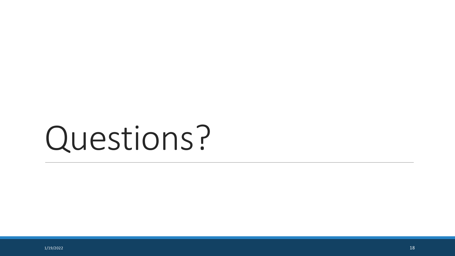# Questions?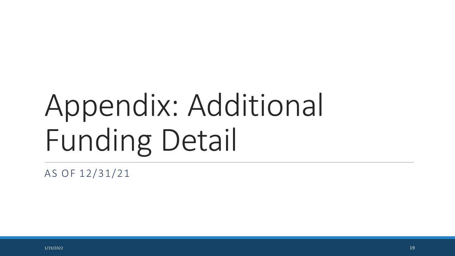# Appendix: Additional Funding Detail

AS OF 12/31/21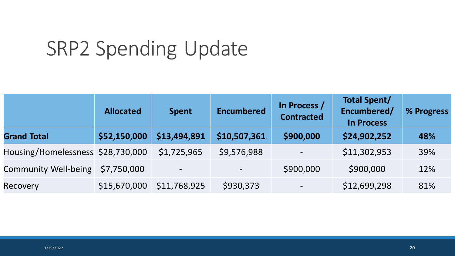## SRP2 Spending Update

|                                   | <b>Allocated</b> | <b>Spent</b>             | <b>Encumbered</b> | In Process /<br><b>Contracted</b> | <b>Total Spent/</b><br>Encumbered/<br><b>In Process</b> | % Progress |
|-----------------------------------|------------------|--------------------------|-------------------|-----------------------------------|---------------------------------------------------------|------------|
| <b>Grand Total</b>                | \$52,150,000     | \$13,494,891             | \$10,507,361      | \$900,000                         | \$24,902,252                                            | 48%        |
| Housing/Homelessness \$28,730,000 |                  | \$1,725,965              | \$9,576,988       |                                   | \$11,302,953                                            | 39%        |
| <b>Community Well-being</b>       | \$7,750,000      | $\overline{\phantom{a}}$ |                   | \$900,000                         | \$900,000                                               | 12%        |
| Recovery                          | \$15,670,000     | \$11,768,925             | \$930,373         |                                   | \$12,699,298                                            | 81%        |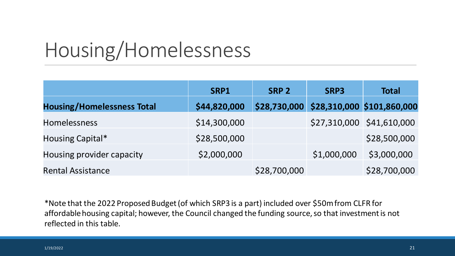### Housing/Homelessness

|                                   | SRP1         | <b>SRP 2</b> | SRP3        | <b>Total</b>                            |
|-----------------------------------|--------------|--------------|-------------|-----------------------------------------|
| <b>Housing/Homelessness Total</b> | \$44,820,000 |              |             | \$28,730,000 \$28,310,000 \$101,860,000 |
| Homelessness                      | \$14,300,000 |              |             | \$27,310,000 \$41,610,000               |
| Housing Capital*                  | \$28,500,000 |              |             | \$28,500,000                            |
| Housing provider capacity         | \$2,000,000  |              | \$1,000,000 | \$3,000,000                             |
| <b>Rental Assistance</b>          |              | \$28,700,000 |             | \$28,700,000                            |

\*Note that the 2022 Proposed Budget (of which SRP3 is a part) included over \$50m from CLFR for affordable housing capital; however, the Council changed the funding source, so that investment is not reflected in this table.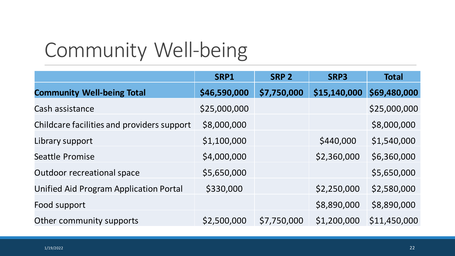## Community Well-being

|                                               | SRP1         | <b>SRP 2</b> | SRP3         | <b>Total</b> |
|-----------------------------------------------|--------------|--------------|--------------|--------------|
| <b>Community Well-being Total</b>             | \$46,590,000 | \$7,750,000  | \$15,140,000 | \$69,480,000 |
| Cash assistance                               | \$25,000,000 |              |              | \$25,000,000 |
| Childcare facilities and providers support    | \$8,000,000  |              |              | \$8,000,000  |
| Library support                               | \$1,100,000  |              | \$440,000    | \$1,540,000  |
| Seattle Promise                               | \$4,000,000  |              | \$2,360,000  | \$6,360,000  |
| <b>Outdoor recreational space</b>             | \$5,650,000  |              |              | \$5,650,000  |
| <b>Unified Aid Program Application Portal</b> | \$330,000    |              | \$2,250,000  | \$2,580,000  |
| Food support                                  |              |              | \$8,890,000  | \$8,890,000  |
| Other community supports                      | \$2,500,000  | \$7,750,000  | \$1,200,000  | \$11,450,000 |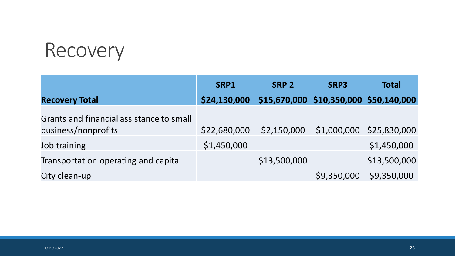### Recovery

|                                                                 | SRP1         | SRP <sub>2</sub>                       | SRP3        | <b>Total</b>             |
|-----------------------------------------------------------------|--------------|----------------------------------------|-------------|--------------------------|
| <b>Recovery Total</b>                                           | \$24,130,000 | \$15,670,000 \$10,350,000 \$50,140,000 |             |                          |
| Grants and financial assistance to small<br>business/nonprofits | \$22,680,000 | \$2,150,000                            |             | \$1,000,000 \$25,830,000 |
| Job training                                                    | \$1,450,000  |                                        |             | \$1,450,000              |
| Transportation operating and capital                            |              | \$13,500,000                           |             | \$13,500,000             |
| City clean-up                                                   |              |                                        | \$9,350,000 | \$9,350,000              |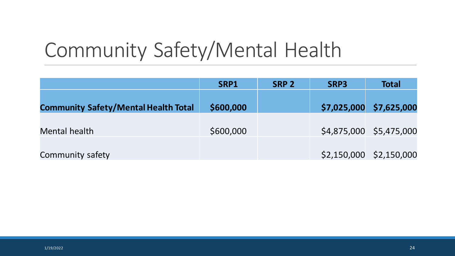## Community Safety/Mental Health

|                                             | SRP1      | SRP <sub>2</sub> | SRP3 | <b>Total</b>            |
|---------------------------------------------|-----------|------------------|------|-------------------------|
| <b>Community Safety/Mental Health Total</b> | \$600,000 |                  |      | \$7,025,000 \$7,625,000 |
| Mental health                               | \$600,000 |                  |      | \$4,875,000 \$5,475,000 |
| Community safety                            |           |                  |      | \$2,150,000 \$2,150,000 |